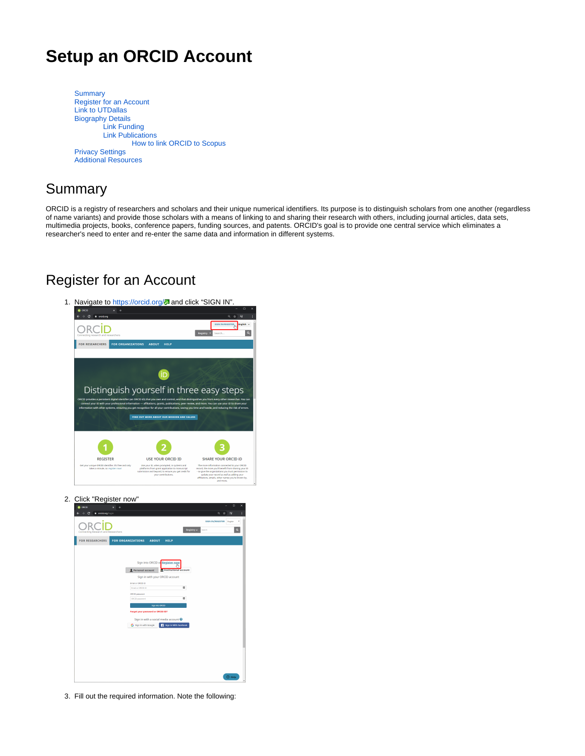# **Setup an ORCID Account**

**[Summary](#page-0-0)** [Register for an Account](#page-0-1) [Link to UTDallas](#page-1-0) [Biography Details](#page-1-1) [Link Funding](#page-1-2) [Link Publications](#page-1-3) [How to link ORCID to Scopus](#page-2-0) [Privacy Settings](#page-2-1) [Additional Resources](#page-3-0)

## <span id="page-0-0"></span>Summary

ORCID is a registry of researchers and scholars and their unique numerical identifiers. Its purpose is to distinguish scholars from one another (regardless of name variants) and provide those scholars with a means of linking to and sharing their research with others, including journal articles, data sets, multimedia projects, books, conference papers, funding sources, and patents. ORCID's goal is to provide one central service which eliminates a researcher's need to enter and re-enter the same data and information in different systems.

### <span id="page-0-1"></span>Register for an Account

- 1. Navigate to<https://orcid.org/>2 and click "SIGN IN". ORCID  $\overline{a}$ FOR RESEARCHERS FOR ORGANIZATIONS ABOUT **i**D Distinguish yourself in three easy steps 1 3 SHARE YOUR ORCID ID REGISTER USE YOUR ORCID ID
- 2. Click "Register now"

| $\leftarrow$ $\rightarrow$ C<br>a oradiorg/login |                                                         | ◎ ☆ 】<br>$\overline{u}$                                           |
|--------------------------------------------------|---------------------------------------------------------|-------------------------------------------------------------------|
| Connecting Research and Researchers              |                                                         | SIGN IN/REGISTER English<br>٠<br>$\alpha$<br>Registry ~<br>Search |
| <b>FOR RESEARCHERS</b>                           | <b>FOR ORGANIZATIONS</b><br><b>ABOUT</b><br><b>HELP</b> |                                                                   |
|                                                  |                                                         |                                                                   |
|                                                  | Sign into ORCID or Register now                         |                                                                   |
|                                                  | Personal account<br><b>Institutional account</b>        |                                                                   |
|                                                  | Sign in with your ORCID account                         |                                                                   |
|                                                  | Email or ORCED ID<br>Email or ORCID ID                  | ш                                                                 |
|                                                  | ORCID password                                          |                                                                   |
|                                                  | <b>CRCID</b> password                                   | ш                                                                 |
|                                                  | Sign Into ORCID                                         |                                                                   |
|                                                  | Forgot your password or ORCID ID?                       |                                                                   |
|                                                  | Sign in with a social media account <sup>O</sup>        |                                                                   |
|                                                  | G Sign in with Google<br>Sign in With Facebook          |                                                                   |
|                                                  |                                                         |                                                                   |
|                                                  |                                                         |                                                                   |
|                                                  |                                                         |                                                                   |
|                                                  |                                                         |                                                                   |
|                                                  |                                                         |                                                                   |
|                                                  |                                                         |                                                                   |
|                                                  |                                                         | <b>O</b> Help                                                     |

3. Fill out the required information. Note the following: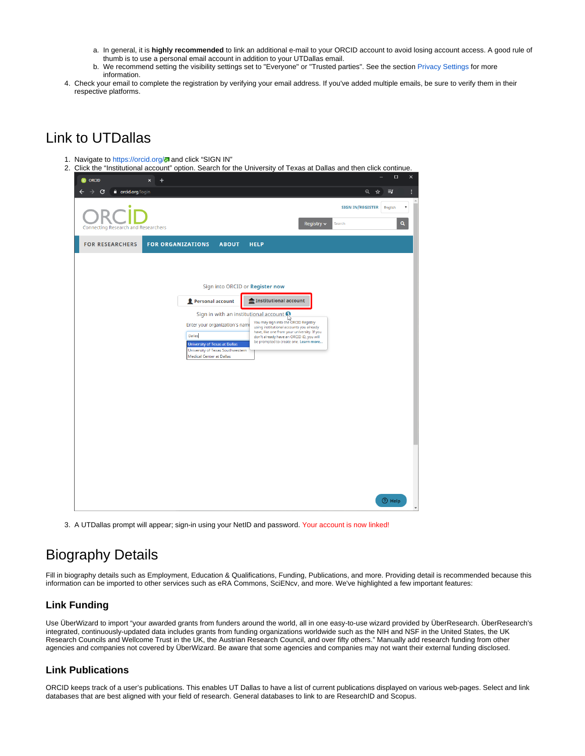- a. In general, it is **highly recommended** to link an additional e-mail to your ORCID account to avoid losing account access. A good rule of thumb is to use a personal email account in addition to your UTDallas email.
- b. We recommend setting the visibility settings set to "Everyone" or "Trusted parties". See the section [Privacy Settings](#page-2-1) for more information.
- 4. Check your email to complete the registration by verifying your email address. If you've added multiple emails, be sure to verify them in their respective platforms.

## <span id="page-1-0"></span>Link to UTDallas

- 1. Navigate to<https://orcid.org/>2 and click "SIGN IN"
- 2. Click the "Institutional account" option. Search for the University of Texas at Dallas and then click continue.

| <b>iD</b> ORCID<br>$\pmb{\times}$<br>$\ddot{}$                      | $\Box$<br>×                                                                                                                      |
|---------------------------------------------------------------------|----------------------------------------------------------------------------------------------------------------------------------|
| a orcid.org/login<br>C<br>→                                         | Q ☆<br>E                                                                                                                         |
| ٠                                                                   | <b>SIGN IN/REGISTER</b><br>English<br>٧                                                                                          |
| Connecting Research and Researchers                                 | $\alpha$<br>Registry $\sim$<br>Search                                                                                            |
| <b>FOR RESEARCHERS</b><br><b>FOR ORGANIZATIONS</b><br><b>ABOUT</b>  | <b>HELP</b>                                                                                                                      |
|                                                                     |                                                                                                                                  |
|                                                                     | Sign into ORCID or Register now                                                                                                  |
| Personal account                                                    | <b>fm</b> Institutional account                                                                                                  |
| Enter your organization's name                                      | Sign in with an institutional account<br>ပြ<br>You may sign into the ORCID Registry<br>using institutional accounts you already  |
| Dallas<br><b>University of Texas at Dallas</b>                      | have, like one from your university. If you<br>don't already have an ORCID iD, you will<br>be prompted to create one. Learn more |
| University of Texas Southwestern<br><b>Medical Center at Dallas</b> |                                                                                                                                  |
|                                                                     |                                                                                                                                  |
|                                                                     |                                                                                                                                  |
|                                                                     |                                                                                                                                  |
|                                                                     |                                                                                                                                  |
|                                                                     |                                                                                                                                  |
|                                                                     |                                                                                                                                  |
|                                                                     |                                                                                                                                  |
|                                                                     | <b>2</b> Help                                                                                                                    |
|                                                                     | $\overline{\phantom{a}}$                                                                                                         |

3. A UTDallas prompt will appear; sign-in using your NetID and password. Your account is now linked!

### <span id="page-1-1"></span>Biography Details

Fill in biography details such as Employment, Education & Qualifications, Funding, Publications, and more. Providing detail is recommended because this information can be imported to other services such as eRA Commons, SciENcv, and more. We've highlighted a few important features:

### <span id="page-1-2"></span>**Link Funding**

Use ÜberWizard to import "your awarded grants from funders around the world, all in one easy-to-use wizard provided by ÜberResearch. ÜberResearch's integrated, continuously-updated data includes grants from funding organizations worldwide such as the NIH and NSF in the United States, the UK Research Councils and Wellcome Trust in the UK, the Austrian Research Council, and over fifty others." Manually add research funding from other agencies and companies not covered by ÜberWizard. Be aware that some agencies and companies may not want their external funding disclosed.

### <span id="page-1-3"></span>**Link Publications**

ORCID keeps track of a user's publications. This enables UT Dallas to have a list of current publications displayed on various web-pages. Select and link databases that are best aligned with your field of research. General databases to link to are ResearchID and Scopus.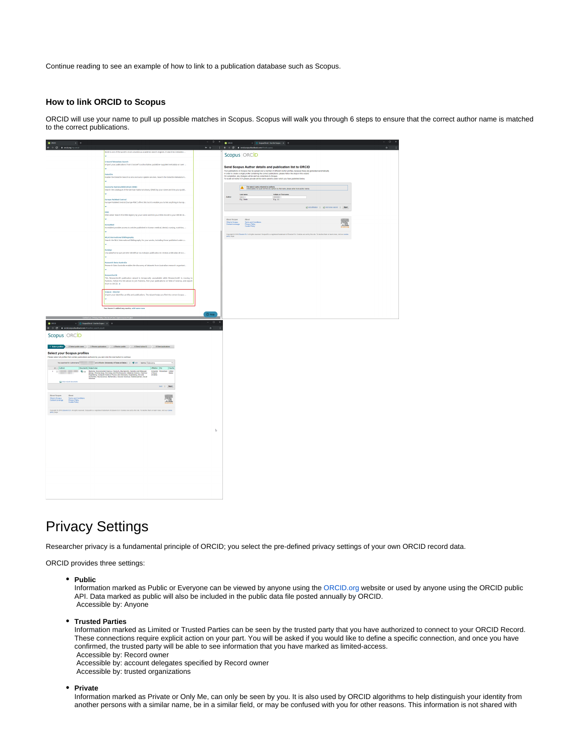Continue reading to see an example of how to link to a publication database such as Scopus.

#### <span id="page-2-0"></span>**How to link ORCID to Scopus**

ORCID will use your name to pull up possible matches in Scopus. Scopus will walk you through 6 steps to ensure that the correct author name is matched to the correct publications.

| $\begin{array}{l l} \bullet \text{ osco} & \text{x}\\ \bullet & \rightarrow & \text{C} & \bullet & \text{osidary} \forall \gamma \text{ oscol} \end{array}$<br>$\sim$ $x +$ |                                                                                                                                                                                                           |          | $0 \times 2000$                                    | $\mathbf{x} = \mathbf{0}$ Supathal (basebana) $\mathbf{x} = \mathbf{0}$                                                                                                                                                           |                                                                                                                                                                        |                                                                                                                                                                                | $0 \times$    |
|-----------------------------------------------------------------------------------------------------------------------------------------------------------------------------|-----------------------------------------------------------------------------------------------------------------------------------------------------------------------------------------------------------|----------|----------------------------------------------------|-----------------------------------------------------------------------------------------------------------------------------------------------------------------------------------------------------------------------------------|------------------------------------------------------------------------------------------------------------------------------------------------------------------------|--------------------------------------------------------------------------------------------------------------------------------------------------------------------------------|---------------|
|                                                                                                                                                                             | BASE is one of the world's most voluminous academic search engines. It searches metadata                                                                                                                  |          |                                                    |                                                                                                                                                                                                                                   |                                                                                                                                                                        |                                                                                                                                                                                | $\frac{1}{2}$ |
|                                                                                                                                                                             |                                                                                                                                                                                                           |          |                                                    | Scopus ORCID                                                                                                                                                                                                                      |                                                                                                                                                                        |                                                                                                                                                                                |               |
|                                                                                                                                                                             | Crossref Metadata Search<br>Import your publications from Crossref's authorizative, publisher-supplied metadata on over                                                                                   |          |                                                    | Send Scopus Author details and publication list to ORCID                                                                                                                                                                          |                                                                                                                                                                        |                                                                                                                                                                                |               |
|                                                                                                                                                                             | v.                                                                                                                                                                                                        |          |                                                    |                                                                                                                                                                                                                                   |                                                                                                                                                                        |                                                                                                                                                                                |               |
|                                                                                                                                                                             | <b>DataCite</b><br>Enable the DataClte Search & Link and Auto Update services. Search the DataClte Metadata S                                                                                             |          |                                                    | Your publications on Scopus may be spread over a number of different Author perfiles, because these ans generated submatically.<br>In order to onebe singling profile containing the connect paticalities, please follow the sing |                                                                                                                                                                        |                                                                                                                                                                                |               |
|                                                                                                                                                                             |                                                                                                                                                                                                           |          |                                                    |                                                                                                                                                                                                                                   |                                                                                                                                                                        |                                                                                                                                                                                |               |
|                                                                                                                                                                             | Deutsche Nationalbibliothek (DNB)<br>Search the catalogue of the German National Library (DNB) by your name and link your publ                                                                            |          |                                                    |                                                                                                                                                                                                                                   | The search query returned no authors.<br>$\boxed{\textcolor{red}{\Delta_1}}$ Unfortunately we could not find any authors by that name, please enfor more author names. |                                                                                                                                                                                |               |
|                                                                                                                                                                             |                                                                                                                                                                                                           |          |                                                    | Lastname                                                                                                                                                                                                                          | Initials or First name                                                                                                                                                 |                                                                                                                                                                                |               |
|                                                                                                                                                                             | <b>Europe PubMed Central</b>                                                                                                                                                                              |          | Arbeit                                             | Es. Smith                                                                                                                                                                                                                         | $E_{9.11}$                                                                                                                                                             |                                                                                                                                                                                |               |
|                                                                                                                                                                             | Europe PubMed Central (Europe PMC) offers this tool to enable you to link anything in Europ                                                                                                               |          |                                                    |                                                                                                                                                                                                                                   |                                                                                                                                                                        | grass attacks   grass rame variet   Start                                                                                                                                      |               |
|                                                                                                                                                                             | <b>YOU</b>                                                                                                                                                                                                |          |                                                    |                                                                                                                                                                                                                                   |                                                                                                                                                                        |                                                                                                                                                                                |               |
|                                                                                                                                                                             | ISNI Linker Search the ISNI registry by your name and link your ISNI record to your ORCID re                                                                                                              |          |                                                    |                                                                                                                                                                                                                                   |                                                                                                                                                                        |                                                                                                                                                                                |               |
|                                                                                                                                                                             | KereaMed                                                                                                                                                                                                  |          | About Scopes<br>What is Scapus<br>Confunt coverage | About<br>Terms and Canditions<br>Primacy Policy<br>Caokie Policy                                                                                                                                                                  |                                                                                                                                                                        | 瓢                                                                                                                                                                              |               |
|                                                                                                                                                                             | KoreaMed provides access to articles published in Korean medical, dental, nursing, nutrition,                                                                                                             |          |                                                    |                                                                                                                                                                                                                                   |                                                                                                                                                                        |                                                                                                                                                                                |               |
|                                                                                                                                                                             | MLA International Bibliography<br>Search the MLA International Bibliography for your works, including those published under v                                                                             |          |                                                    |                                                                                                                                                                                                                                   |                                                                                                                                                                        | Copyright & 2019 Element B.V. At rights reserved. Scapureb is a registered trademark of Element B.V. Cookies are set by this also To dealer them or learn many viol our cookie |               |
|                                                                                                                                                                             |                                                                                                                                                                                                           |          |                                                    |                                                                                                                                                                                                                                   |                                                                                                                                                                        |                                                                                                                                                                                |               |
|                                                                                                                                                                             | Redatys                                                                                                                                                                                                   |          |                                                    |                                                                                                                                                                                                                                   |                                                                                                                                                                        |                                                                                                                                                                                |               |
|                                                                                                                                                                             | Una plataforma que permite identificar tus trabajos publicados en revistas arbitradas de Acc                                                                                                              |          |                                                    |                                                                                                                                                                                                                                   |                                                                                                                                                                        |                                                                                                                                                                                |               |
|                                                                                                                                                                             | Research Data Australia                                                                                                                                                                                   |          |                                                    |                                                                                                                                                                                                                                   |                                                                                                                                                                        |                                                                                                                                                                                |               |
|                                                                                                                                                                             | Research Data Australia enables the discovery of datasets from Australian research organisat                                                                                                              |          |                                                    |                                                                                                                                                                                                                                   |                                                                                                                                                                        |                                                                                                                                                                                |               |
|                                                                                                                                                                             | ResearcherED                                                                                                                                                                                              |          |                                                    |                                                                                                                                                                                                                                   |                                                                                                                                                                        |                                                                                                                                                                                |               |
|                                                                                                                                                                             | This Researcher3D publication wizard is temporarily unavailable while Researcher3D is moving to<br>Publicre. Follow the link above to join Publicre, find your publications on Web of Science, and export |          |                                                    |                                                                                                                                                                                                                                   |                                                                                                                                                                        |                                                                                                                                                                                |               |
|                                                                                                                                                                             | hem to ORCID. >                                                                                                                                                                                           |          |                                                    |                                                                                                                                                                                                                                   |                                                                                                                                                                        |                                                                                                                                                                                |               |
|                                                                                                                                                                             | Scopus - Elsevier                                                                                                                                                                                         |          |                                                    |                                                                                                                                                                                                                                   |                                                                                                                                                                        |                                                                                                                                                                                |               |
|                                                                                                                                                                             | Import your identifier, profile and publications. The retrard helps you find the correct Scopes                                                                                                           |          |                                                    |                                                                                                                                                                                                                                   |                                                                                                                                                                        |                                                                                                                                                                                |               |
|                                                                                                                                                                             |                                                                                                                                                                                                           |          |                                                    |                                                                                                                                                                                                                                   |                                                                                                                                                                        |                                                                                                                                                                                |               |
|                                                                                                                                                                             | You haven't added any works, add some now                                                                                                                                                                 |          |                                                    |                                                                                                                                                                                                                                   |                                                                                                                                                                        |                                                                                                                                                                                |               |
|                                                                                                                                                                             | Contact us   Privacy Policy   Terms of Use   Open Source Project                                                                                                                                          | $@$ Help |                                                    |                                                                                                                                                                                                                                   |                                                                                                                                                                        |                                                                                                                                                                                |               |
| $\left\vert \times\right\vert$ =0. Super<br>District - the fluctuation $\left\vert \times\right\vert$ = +<br>$\bullet$ ora                                                  |                                                                                                                                                                                                           |          |                                                    |                                                                                                                                                                                                                                   |                                                                                                                                                                        |                                                                                                                                                                                |               |
| $\leftarrow$ $\rightarrow$ <b>C</b> $\bullet$ criticspatiochackers(F) series and                                                                                            |                                                                                                                                                                                                           |          |                                                    |                                                                                                                                                                                                                                   |                                                                                                                                                                        |                                                                                                                                                                                |               |
| Scopus ORCID                                                                                                                                                                |                                                                                                                                                                                                           |          |                                                    |                                                                                                                                                                                                                                   |                                                                                                                                                                        |                                                                                                                                                                                |               |
|                                                                                                                                                                             |                                                                                                                                                                                                           |          |                                                    |                                                                                                                                                                                                                                   |                                                                                                                                                                        |                                                                                                                                                                                |               |
|                                                                                                                                                                             |                                                                                                                                                                                                           |          |                                                    |                                                                                                                                                                                                                                   |                                                                                                                                                                        |                                                                                                                                                                                |               |
| <b>Select your Scopus profiles</b>                                                                                                                                          |                                                                                                                                                                                                           |          |                                                    |                                                                                                                                                                                                                                   |                                                                                                                                                                        |                                                                                                                                                                                |               |
| Please select all profiles that contain publications authored by you and click the next button to continue                                                                  |                                                                                                                                                                                                           |          |                                                    |                                                                                                                                                                                                                                   |                                                                                                                                                                        |                                                                                                                                                                                |               |
|                                                                                                                                                                             |                                                                                                                                                                                                           |          |                                                    |                                                                                                                                                                                                                                   |                                                                                                                                                                        |                                                                                                                                                                                |               |
|                                                                                                                                                                             |                                                                                                                                                                                                           |          |                                                    |                                                                                                                                                                                                                                   |                                                                                                                                                                        |                                                                                                                                                                                |               |
|                                                                                                                                                                             |                                                                                                                                                                                                           |          |                                                    |                                                                                                                                                                                                                                   |                                                                                                                                                                        |                                                                                                                                                                                |               |
|                                                                                                                                                                             | text   Next                                                                                                                                                                                               |          |                                                    |                                                                                                                                                                                                                                   |                                                                                                                                                                        |                                                                                                                                                                                |               |
|                                                                                                                                                                             |                                                                                                                                                                                                           |          |                                                    |                                                                                                                                                                                                                                   |                                                                                                                                                                        |                                                                                                                                                                                |               |
| About Scopes<br>What is Scapes<br>Content coverage<br>About<br>Turms and Conditions<br>Prinary Policy<br>Cookie Policy                                                      | 魙                                                                                                                                                                                                         |          |                                                    |                                                                                                                                                                                                                                   |                                                                                                                                                                        |                                                                                                                                                                                |               |
|                                                                                                                                                                             |                                                                                                                                                                                                           |          |                                                    |                                                                                                                                                                                                                                   |                                                                                                                                                                        |                                                                                                                                                                                |               |
|                                                                                                                                                                             | Copyright 8:2113 Elsevier B.V. All rights reserved. Scoputif is a registered trademark of Elsevier B.V. Cookes are set by this site. To decline them or learn more, visit our cookes                      |          |                                                    |                                                                                                                                                                                                                                   |                                                                                                                                                                        |                                                                                                                                                                                |               |
|                                                                                                                                                                             |                                                                                                                                                                                                           |          |                                                    |                                                                                                                                                                                                                                   |                                                                                                                                                                        |                                                                                                                                                                                |               |
|                                                                                                                                                                             |                                                                                                                                                                                                           |          |                                                    |                                                                                                                                                                                                                                   |                                                                                                                                                                        |                                                                                                                                                                                |               |
|                                                                                                                                                                             |                                                                                                                                                                                                           | b.       |                                                    |                                                                                                                                                                                                                                   |                                                                                                                                                                        |                                                                                                                                                                                |               |
|                                                                                                                                                                             |                                                                                                                                                                                                           |          |                                                    |                                                                                                                                                                                                                                   |                                                                                                                                                                        |                                                                                                                                                                                |               |
|                                                                                                                                                                             |                                                                                                                                                                                                           |          |                                                    |                                                                                                                                                                                                                                   |                                                                                                                                                                        |                                                                                                                                                                                |               |
|                                                                                                                                                                             |                                                                                                                                                                                                           |          |                                                    |                                                                                                                                                                                                                                   |                                                                                                                                                                        |                                                                                                                                                                                |               |
|                                                                                                                                                                             |                                                                                                                                                                                                           |          |                                                    |                                                                                                                                                                                                                                   |                                                                                                                                                                        |                                                                                                                                                                                |               |
|                                                                                                                                                                             |                                                                                                                                                                                                           |          |                                                    |                                                                                                                                                                                                                                   |                                                                                                                                                                        |                                                                                                                                                                                |               |
|                                                                                                                                                                             |                                                                                                                                                                                                           |          |                                                    |                                                                                                                                                                                                                                   |                                                                                                                                                                        |                                                                                                                                                                                |               |
|                                                                                                                                                                             |                                                                                                                                                                                                           |          |                                                    |                                                                                                                                                                                                                                   |                                                                                                                                                                        |                                                                                                                                                                                |               |
|                                                                                                                                                                             |                                                                                                                                                                                                           |          |                                                    |                                                                                                                                                                                                                                   |                                                                                                                                                                        |                                                                                                                                                                                |               |
|                                                                                                                                                                             |                                                                                                                                                                                                           |          |                                                    |                                                                                                                                                                                                                                   |                                                                                                                                                                        |                                                                                                                                                                                |               |
|                                                                                                                                                                             |                                                                                                                                                                                                           |          |                                                    |                                                                                                                                                                                                                                   |                                                                                                                                                                        |                                                                                                                                                                                |               |
|                                                                                                                                                                             |                                                                                                                                                                                                           |          |                                                    |                                                                                                                                                                                                                                   |                                                                                                                                                                        |                                                                                                                                                                                |               |
|                                                                                                                                                                             |                                                                                                                                                                                                           |          |                                                    |                                                                                                                                                                                                                                   |                                                                                                                                                                        |                                                                                                                                                                                |               |

### <span id="page-2-1"></span>Privacy Settings

Researcher privacy is a fundamental principle of ORCID; you select the pre-defined privacy settings of your own ORCID record data.

ORCID provides three settings:

**Public**

Information marked as Public or Everyone can be viewed by anyone using the [ORCID.org](http://ORCID.org) website or used by anyone using the ORCID public API. Data marked as public will also be included in the public data file posted annually by ORCID. Accessible by: Anyone

#### **Trusted Parties**

Information marked as Limited or Trusted Parties can be seen by the trusted party that you have authorized to connect to your ORCID Record. These connections require explicit action on your part. You will be asked if you would like to define a specific connection, and once you have confirmed, the trusted party will be able to see information that you have marked as limited-access. Accessible by: Record owner Accessible by: account delegates specified by Record owner Accessible by: trusted organizations

#### **Private**

Information marked as Private or Only Me, can only be seen by you. It is also used by ORCID algorithms to help distinguish your identity from another persons with a similar name, be in a similar field, or may be confused with you for other reasons. This information is not shared with